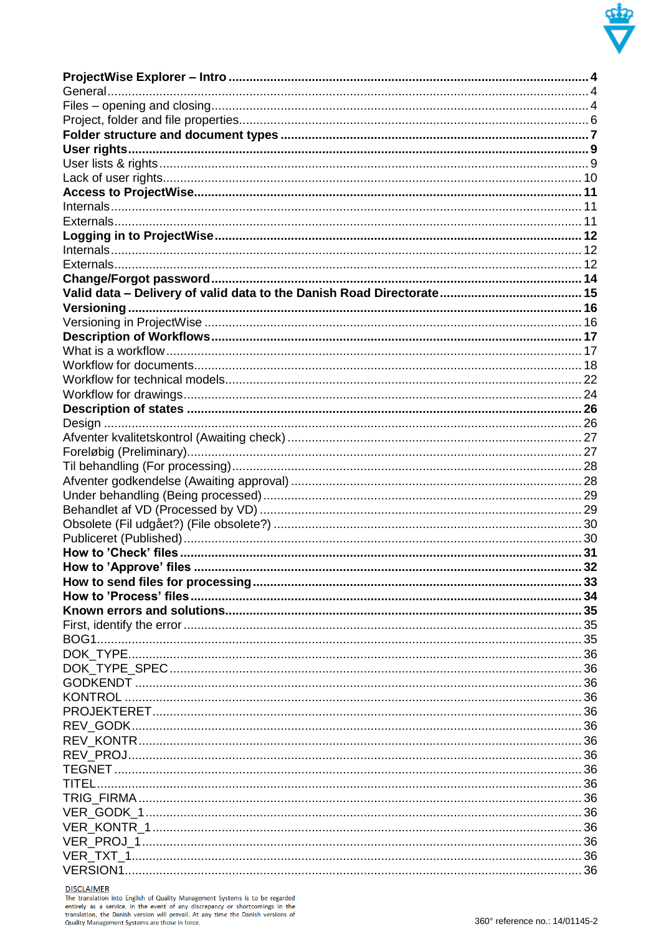

**DISCLAIMER**<br>The translation into English of Quality Management Systems is to be regarded<br>entirely as a service. In the event of any discrepancy or shortcomings in the<br>translation, the Danish version will prevail. At any t